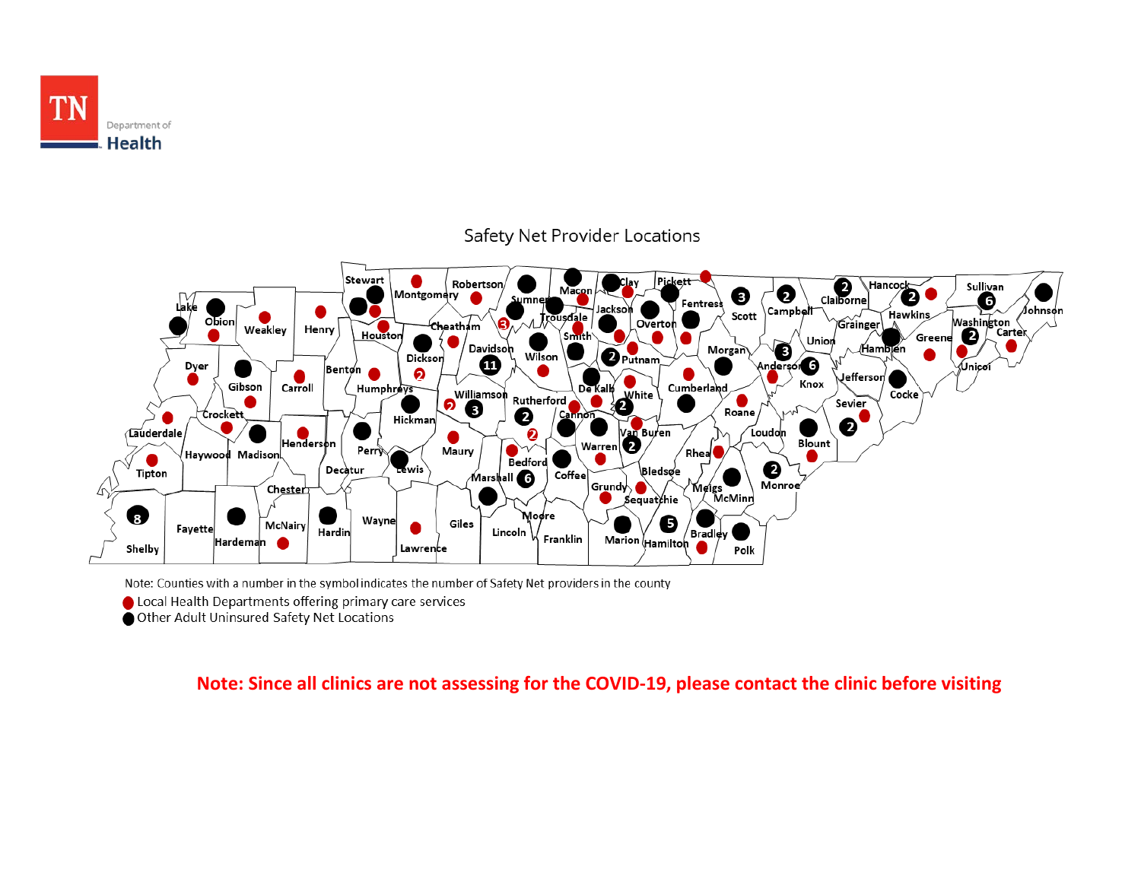



Note: Counties with a number in the symbol indicates the number of Safety Net providers in the county

Clocal Health Departments offering primary care services

Other Adult Uninsured Safety Net Locations

#### **Note: Since all clinics are not assessing for the COVID-19, please contact the clinic before visiting**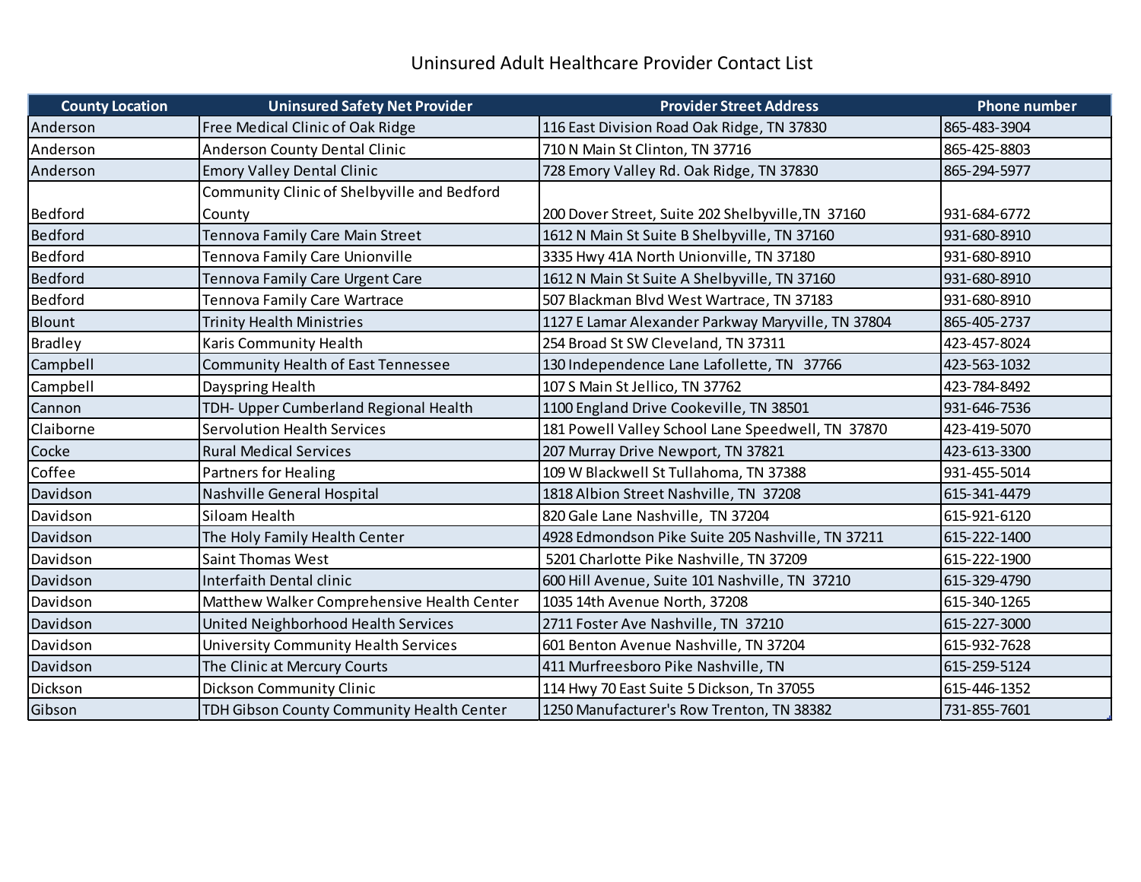## Uninsured Adult Healthcare Provider Contact List

| <b>County Location</b> | <b>Uninsured Safety Net Provider</b>        | <b>Provider Street Address</b>                     | <b>Phone number</b> |
|------------------------|---------------------------------------------|----------------------------------------------------|---------------------|
| Anderson               | Free Medical Clinic of Oak Ridge            | 116 East Division Road Oak Ridge, TN 37830         | 865-483-3904        |
| Anderson               | <b>Anderson County Dental Clinic</b>        | 710 N Main St Clinton, TN 37716                    | 865-425-8803        |
| Anderson               | <b>Emory Valley Dental Clinic</b>           | 728 Emory Valley Rd. Oak Ridge, TN 37830           | 865-294-5977        |
|                        | Community Clinic of Shelbyville and Bedford |                                                    |                     |
| Bedford                | County                                      | 200 Dover Street, Suite 202 Shelbyville, TN 37160  | 931-684-6772        |
| <b>Bedford</b>         | Tennova Family Care Main Street             | 1612 N Main St Suite B Shelbyville, TN 37160       | 931-680-8910        |
| Bedford                | Tennova Family Care Unionville              | 3335 Hwy 41A North Unionville, TN 37180            | 931-680-8910        |
| <b>Bedford</b>         | Tennova Family Care Urgent Care             | 1612 N Main St Suite A Shelbyville, TN 37160       | 931-680-8910        |
| Bedford                | Tennova Family Care Wartrace                | 507 Blackman Blvd West Wartrace, TN 37183          | 931-680-8910        |
| Blount                 | <b>Trinity Health Ministries</b>            | 1127 E Lamar Alexander Parkway Maryville, TN 37804 | 865-405-2737        |
| <b>Bradley</b>         | Karis Community Health                      | 254 Broad St SW Cleveland, TN 37311                | 423-457-8024        |
| Campbell               | Community Health of East Tennessee          | 130 Independence Lane Lafollette, TN 37766         | 423-563-1032        |
| Campbell               | Dayspring Health                            | 107 S Main St Jellico, TN 37762                    | 423-784-8492        |
| Cannon                 | TDH- Upper Cumberland Regional Health       | 1100 England Drive Cookeville, TN 38501            | 931-646-7536        |
| Claiborne              | <b>Servolution Health Services</b>          | 181 Powell Valley School Lane Speedwell, TN 37870  | 423-419-5070        |
| Cocke                  | <b>Rural Medical Services</b>               | 207 Murray Drive Newport, TN 37821                 | 423-613-3300        |
| Coffee                 | <b>Partners for Healing</b>                 | 109 W Blackwell St Tullahoma, TN 37388             | 931-455-5014        |
| Davidson               | Nashville General Hospital                  | 1818 Albion Street Nashville, TN 37208             | 615-341-4479        |
| Davidson               | Siloam Health                               | 820 Gale Lane Nashville, TN 37204                  | 615-921-6120        |
| Davidson               | The Holy Family Health Center               | 4928 Edmondson Pike Suite 205 Nashville, TN 37211  | 615-222-1400        |
| Davidson               | <b>Saint Thomas West</b>                    | 5201 Charlotte Pike Nashville, TN 37209            | 615-222-1900        |
| Davidson               | Interfaith Dental clinic                    | 600 Hill Avenue, Suite 101 Nashville, TN 37210     | 615-329-4790        |
| Davidson               | Matthew Walker Comprehensive Health Center  | 1035 14th Avenue North, 37208                      | 615-340-1265        |
| Davidson               | United Neighborhood Health Services         | 2711 Foster Ave Nashville, TN 37210                | 615-227-3000        |
| Davidson               | University Community Health Services        | 601 Benton Avenue Nashville, TN 37204              | 615-932-7628        |
| Davidson               | The Clinic at Mercury Courts                | 411 Murfreesboro Pike Nashville, TN                | 615-259-5124        |
| Dickson                | Dickson Community Clinic                    | 114 Hwy 70 East Suite 5 Dickson, Tn 37055          | 615-446-1352        |
| Gibson                 | TDH Gibson County Community Health Center   | 1250 Manufacturer's Row Trenton, TN 38382          | 731-855-7601        |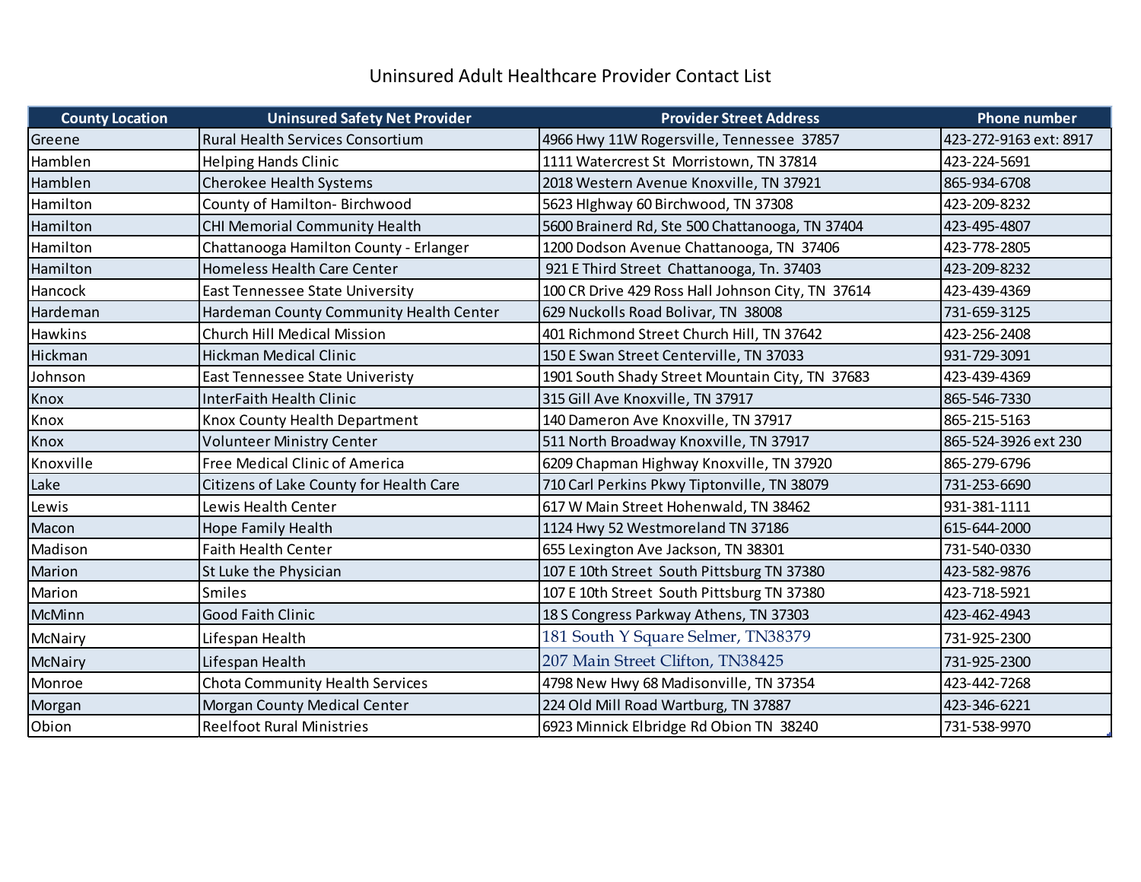## Uninsured Adult Healthcare Provider Contact List

| <b>County Location</b> | <b>Uninsured Safety Net Provider</b>    | <b>Provider Street Address</b>                    | <b>Phone number</b>    |
|------------------------|-----------------------------------------|---------------------------------------------------|------------------------|
| Greene                 | <b>Rural Health Services Consortium</b> | 4966 Hwy 11W Rogersville, Tennessee 37857         | 423-272-9163 ext: 8917 |
| Hamblen                | <b>Helping Hands Clinic</b>             | 1111 Watercrest St Morristown, TN 37814           | 423-224-5691           |
| Hamblen                | <b>Cherokee Health Systems</b>          | 2018 Western Avenue Knoxville, TN 37921           | 865-934-6708           |
| Hamilton               | County of Hamilton- Birchwood           | 5623 Hlghway 60 Birchwood, TN 37308               | 423-209-8232           |
| Hamilton               | CHI Memorial Community Health           | 5600 Brainerd Rd, Ste 500 Chattanooga, TN 37404   | 423-495-4807           |
| Hamilton               | Chattanooga Hamilton County - Erlanger  | 1200 Dodson Avenue Chattanooga, TN 37406          | 423-778-2805           |
| Hamilton               | Homeless Health Care Center             | 921 E Third Street Chattanooga, Tn. 37403         | 423-209-8232           |
| Hancock                | <b>East Tennessee State University</b>  | 100 CR Drive 429 Ross Hall Johnson City, TN 37614 | 423-439-4369           |
| Hardeman               | Hardeman County Community Health Center | 629 Nuckolls Road Bolivar, TN 38008               | 731-659-3125           |
| <b>Hawkins</b>         | Church Hill Medical Mission             | 401 Richmond Street Church Hill, TN 37642         | 423-256-2408           |
| Hickman                | Hickman Medical Clinic                  | 150 E Swan Street Centerville, TN 37033           | 931-729-3091           |
| Johnson                | East Tennessee State Univeristy         | 1901 South Shady Street Mountain City, TN 37683   | 423-439-4369           |
| Knox                   | InterFaith Health Clinic                | 315 Gill Ave Knoxville, TN 37917                  | 865-546-7330           |
| Knox                   | Knox County Health Department           | 140 Dameron Ave Knoxville, TN 37917               | 865-215-5163           |
| Knox                   | <b>Volunteer Ministry Center</b>        | 511 North Broadway Knoxville, TN 37917            | 865-524-3926 ext 230   |
| Knoxville              | Free Medical Clinic of America          | 6209 Chapman Highway Knoxville, TN 37920          | 865-279-6796           |
| Lake                   | Citizens of Lake County for Health Care | 710 Carl Perkins Pkwy Tiptonville, TN 38079       | 731-253-6690           |
| Lewis                  | Lewis Health Center                     | 617 W Main Street Hohenwald, TN 38462             | 931-381-1111           |
| Macon                  | Hope Family Health                      | 1124 Hwy 52 Westmoreland TN 37186                 | 615-644-2000           |
| Madison                | <b>Faith Health Center</b>              | 655 Lexington Ave Jackson, TN 38301               | 731-540-0330           |
| Marion                 | St Luke the Physician                   | 107 E 10th Street South Pittsburg TN 37380        | 423-582-9876           |
| Marion                 | <b>Smiles</b>                           | 107 E 10th Street South Pittsburg TN 37380        | 423-718-5921           |
| <b>McMinn</b>          | <b>Good Faith Clinic</b>                | 18 S Congress Parkway Athens, TN 37303            | 423-462-4943           |
| McNairy                | Lifespan Health                         | 181 South Y Square Selmer, TN38379                | 731-925-2300           |
| McNairy                | Lifespan Health                         | 207 Main Street Clifton, TN38425                  | 731-925-2300           |
| Monroe                 | Chota Community Health Services         | 4798 New Hwy 68 Madisonville, TN 37354            | 423-442-7268           |
| Morgan                 | Morgan County Medical Center            | 224 Old Mill Road Wartburg, TN 37887              | 423-346-6221           |
| Obion                  | <b>Reelfoot Rural Ministries</b>        | 6923 Minnick Elbridge Rd Obion TN 38240           | 731-538-9970           |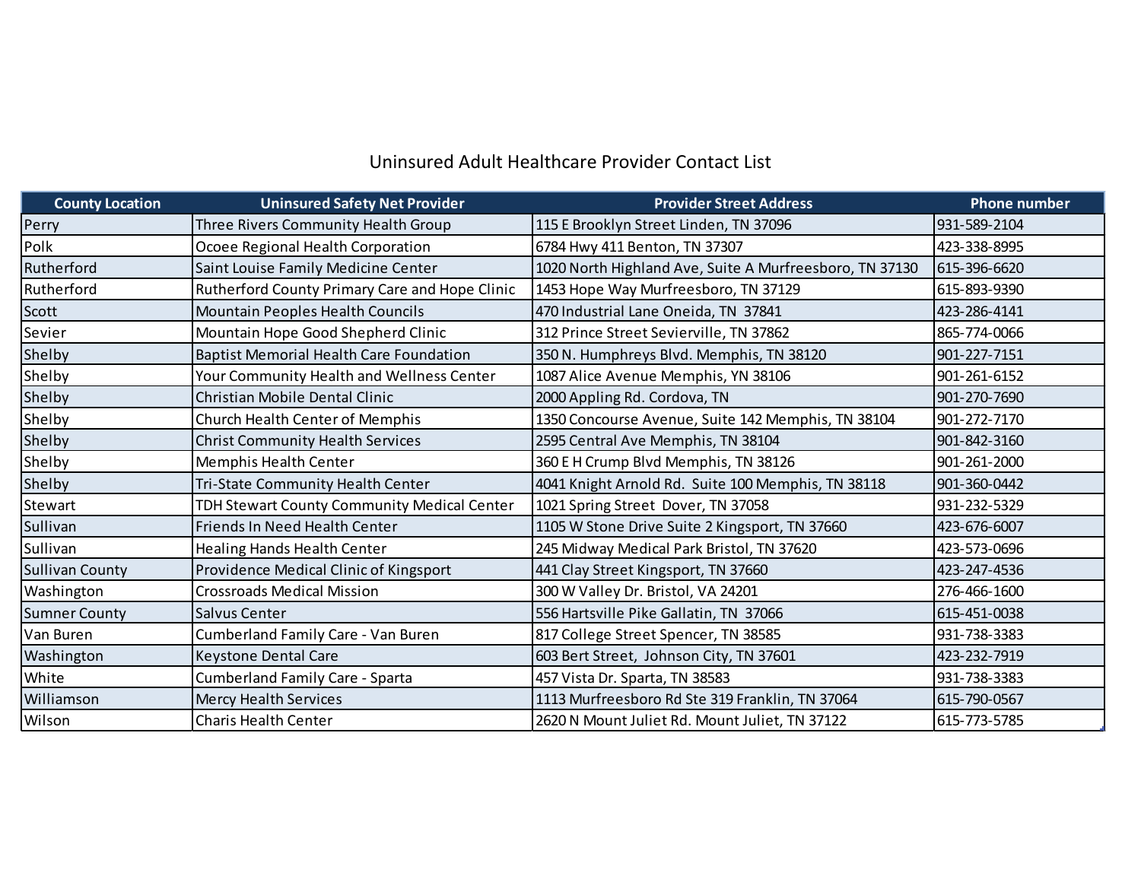## Uninsured Adult Healthcare Provider Contact List

| <b>County Location</b> | <b>Uninsured Safety Net Provider</b>           | <b>Provider Street Address</b>                          | <b>Phone number</b> |
|------------------------|------------------------------------------------|---------------------------------------------------------|---------------------|
| Perry                  | Three Rivers Community Health Group            | 115 E Brooklyn Street Linden, TN 37096                  | 931-589-2104        |
| Polk                   | Ocoee Regional Health Corporation              | 6784 Hwy 411 Benton, TN 37307                           | 423-338-8995        |
| Rutherford             | Saint Louise Family Medicine Center            | 1020 North Highland Ave, Suite A Murfreesboro, TN 37130 | 615-396-6620        |
| Rutherford             | Rutherford County Primary Care and Hope Clinic | 1453 Hope Way Murfreesboro, TN 37129                    | 615-893-9390        |
| Scott                  | <b>Mountain Peoples Health Councils</b>        | 470 Industrial Lane Oneida, TN 37841                    | 423-286-4141        |
| Sevier                 | Mountain Hope Good Shepherd Clinic             | 312 Prince Street Sevierville, TN 37862                 | 865-774-0066        |
| Shelby                 | <b>Baptist Memorial Health Care Foundation</b> | 350 N. Humphreys Blvd. Memphis, TN 38120                | 901-227-7151        |
| Shelby                 | Your Community Health and Wellness Center      | 1087 Alice Avenue Memphis, YN 38106                     | 901-261-6152        |
| Shelby                 | Christian Mobile Dental Clinic                 | 2000 Appling Rd. Cordova, TN                            | 901-270-7690        |
| Shelby                 | <b>Church Health Center of Memphis</b>         | 1350 Concourse Avenue, Suite 142 Memphis, TN 38104      | 901-272-7170        |
| Shelby                 | <b>Christ Community Health Services</b>        | 2595 Central Ave Memphis, TN 38104                      | 901-842-3160        |
| Shelby                 | Memphis Health Center                          | 360 E H Crump Blvd Memphis, TN 38126                    | 901-261-2000        |
| Shelby                 | Tri-State Community Health Center              | 4041 Knight Arnold Rd. Suite 100 Memphis, TN 38118      | 901-360-0442        |
| Stewart                | TDH Stewart County Community Medical Center    | 1021 Spring Street Dover, TN 37058                      | 931-232-5329        |
| Sullivan               | Friends In Need Health Center                  | 1105 W Stone Drive Suite 2 Kingsport, TN 37660          | 423-676-6007        |
| Sullivan               | <b>Healing Hands Health Center</b>             | 245 Midway Medical Park Bristol, TN 37620               | 423-573-0696        |
| <b>Sullivan County</b> | Providence Medical Clinic of Kingsport         | 441 Clay Street Kingsport, TN 37660                     | 423-247-4536        |
| Washington             | <b>Crossroads Medical Mission</b>              | 300 W Valley Dr. Bristol, VA 24201                      | 276-466-1600        |
| <b>Sumner County</b>   | Salvus Center                                  | 556 Hartsville Pike Gallatin, TN 37066                  | 615-451-0038        |
| Van Buren              | Cumberland Family Care - Van Buren             | 817 College Street Spencer, TN 38585                    | 931-738-3383        |
| Washington             | <b>Keystone Dental Care</b>                    | 603 Bert Street, Johnson City, TN 37601                 | 423-232-7919        |
| White                  | <b>Cumberland Family Care - Sparta</b>         | 457 Vista Dr. Sparta, TN 38583                          | 931-738-3383        |
| Williamson             | <b>Mercy Health Services</b>                   | 1113 Murfreesboro Rd Ste 319 Franklin, TN 37064         | 615-790-0567        |
| Wilson                 | <b>Charis Health Center</b>                    | 2620 N Mount Juliet Rd. Mount Juliet, TN 37122          | 615-773-5785        |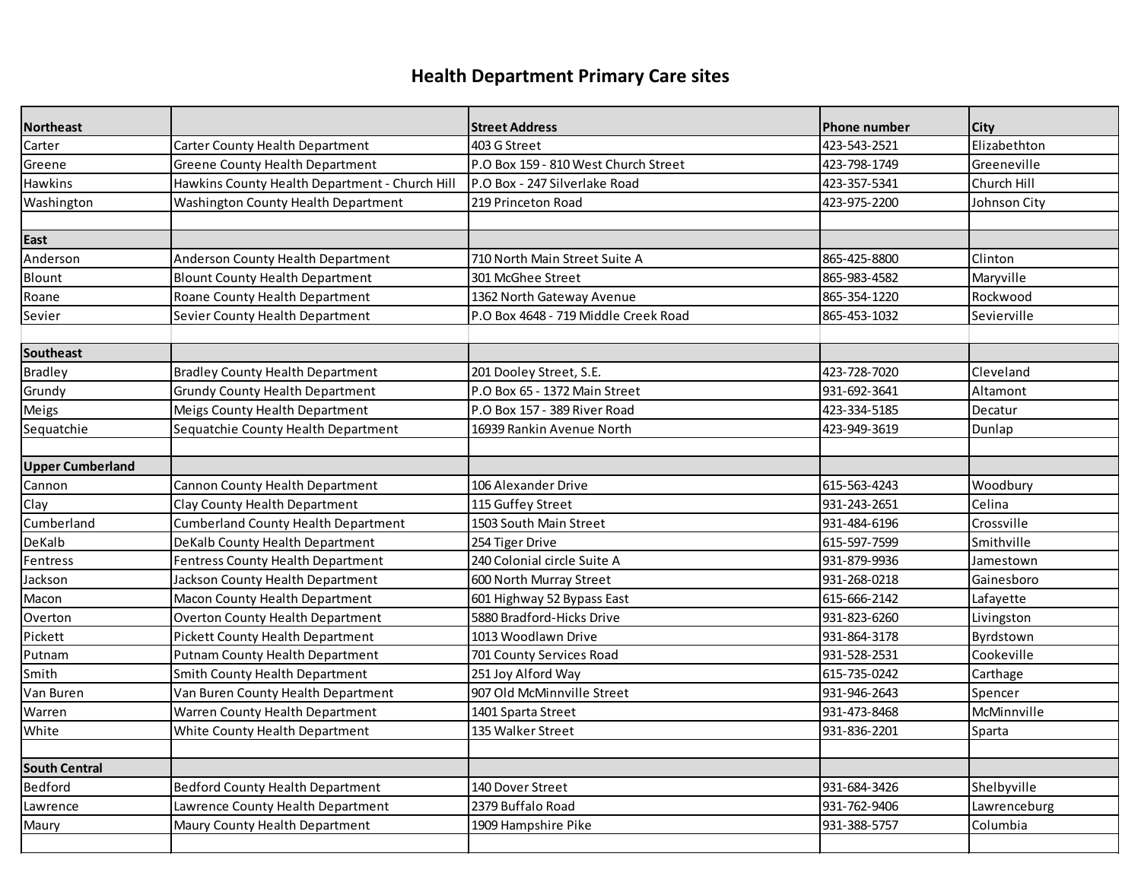# **Health Department Primary Care sites**

| <b>Northeast</b>        |                                                | <b>Street Address</b>                | <b>Phone number</b> | <b>City</b>  |
|-------------------------|------------------------------------------------|--------------------------------------|---------------------|--------------|
| Carter                  | Carter County Health Department                | 403 G Street                         | 423-543-2521        | Elizabethton |
| Greene                  | <b>Greene County Health Department</b>         | P.O Box 159 - 810 West Church Street | 423-798-1749        | Greeneville  |
| <b>Hawkins</b>          | Hawkins County Health Department - Church Hill | P.O Box - 247 Silverlake Road        | 423-357-5341        | Church Hill  |
| Washington              | Washington County Health Department            | 219 Princeton Road                   | 423-975-2200        | Johnson City |
|                         |                                                |                                      |                     |              |
| East                    |                                                |                                      |                     |              |
| Anderson                | Anderson County Health Department              | 710 North Main Street Suite A        | 865-425-8800        | Clinton      |
| Blount                  | <b>Blount County Health Department</b>         | 301 McGhee Street                    | 865-983-4582        | Maryville    |
| Roane                   | Roane County Health Department                 | 1362 North Gateway Avenue            | 865-354-1220        | Rockwood     |
| Sevier                  | Sevier County Health Department                | P.O Box 4648 - 719 Middle Creek Road | 865-453-1032        | Sevierville  |
|                         |                                                |                                      |                     |              |
| Southeast               |                                                |                                      |                     |              |
| <b>Bradley</b>          | <b>Bradley County Health Department</b>        | 201 Dooley Street, S.E.              | 423-728-7020        | Cleveland    |
| Grundy                  | <b>Grundy County Health Department</b>         | P.O Box 65 - 1372 Main Street        | 931-692-3641        | Altamont     |
| Meigs                   | Meigs County Health Department                 | P.O Box 157 - 389 River Road         | 423-334-5185        | Decatur      |
| Sequatchie              | Sequatchie County Health Department            | 16939 Rankin Avenue North            | 423-949-3619        | Dunlap       |
|                         |                                                |                                      |                     |              |
| <b>Upper Cumberland</b> |                                                |                                      |                     |              |
| Cannon                  | Cannon County Health Department                | 106 Alexander Drive                  | 615-563-4243        | Woodbury     |
| Clay                    | Clay County Health Department                  | 115 Guffey Street                    | 931-243-2651        | Celina       |
| Cumberland              | <b>Cumberland County Health Department</b>     | 1503 South Main Street               | 931-484-6196        | Crossville   |
| DeKalb                  | DeKalb County Health Department                | 254 Tiger Drive                      | 615-597-7599        | Smithville   |
| Fentress                | Fentress County Health Department              | 240 Colonial circle Suite A          | 931-879-9936        | Jamestown    |
| Jackson                 | Jackson County Health Department               | 600 North Murray Street              | 931-268-0218        | Gainesboro   |
| Macon                   | Macon County Health Department                 | 601 Highway 52 Bypass East           | 615-666-2142        | Lafayette    |
| Overton                 | <b>Overton County Health Department</b>        | 5880 Bradford-Hicks Drive            | 931-823-6260        | Livingston   |
| Pickett                 | Pickett County Health Department               | 1013 Woodlawn Drive                  | 931-864-3178        | Byrdstown    |
| Putnam                  | Putnam County Health Department                | 701 County Services Road             | 931-528-2531        | Cookeville   |
| Smith                   | Smith County Health Department                 | 251 Joy Alford Way                   | 615-735-0242        | Carthage     |
| Van Buren               | Van Buren County Health Department             | 907 Old McMinnville Street           | 931-946-2643        | Spencer      |
| Warren                  | Warren County Health Department                | 1401 Sparta Street                   | 931-473-8468        | McMinnville  |
| White                   | White County Health Department                 | 135 Walker Street                    | 931-836-2201        | Sparta       |
|                         |                                                |                                      |                     |              |
| <b>South Central</b>    |                                                |                                      |                     |              |
| Bedford                 | Bedford County Health Department               | 140 Dover Street                     | 931-684-3426        | Shelbyville  |
| Lawrence                | Lawrence County Health Department              | 2379 Buffalo Road                    | 931-762-9406        | Lawrenceburg |
| Maury                   | Maury County Health Department                 | 1909 Hampshire Pike                  | 931-388-5757        | Columbia     |
|                         |                                                |                                      |                     |              |
|                         |                                                |                                      |                     |              |